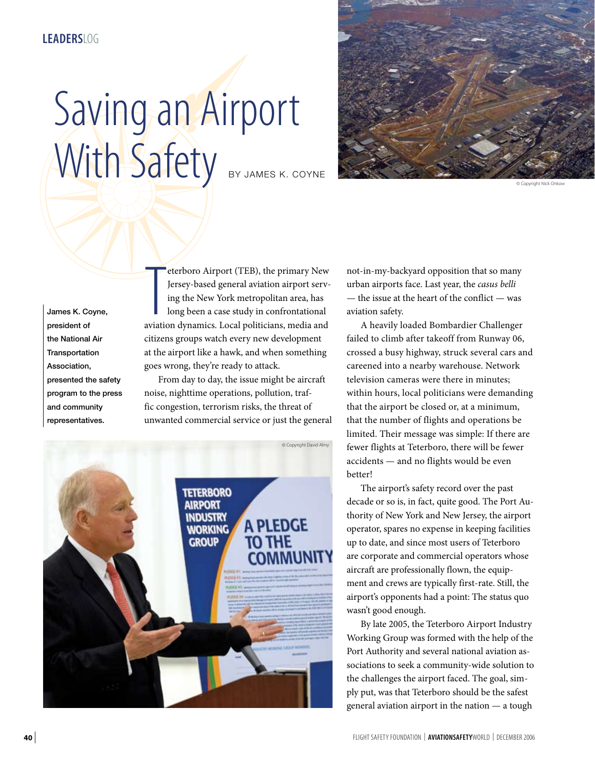## Saving an Airport With Safety BY JAMES K. COYNE



© Copyright Nick Onkow

James K. Coyne, president of the National Air **Transportation** Association, presented the safety program to the press and community representatives.

eterboro Airport (TEB), the primary New<br>Jersey-based general aviation airport serv-<br>ing the New York metropolitan area, has<br>long been a case study in confrontational<br>aviation dynamics. Local politicians, media and eterboro Airport (TEB), the primary New Jersey-based general aviation airport serving the New York metropolitan area, has long been a case study in confrontational citizens groups watch every new development at the airport like a hawk, and when something goes wrong, they're ready to attack.

From day to day, the issue might be aircraft noise, nighttime operations, pollution, traffic congestion, terrorism risks, the threat of unwanted commercial service or just the general



not-in-my-backyard opposition that so many urban airports face. Last year, the *casus belli* — the issue at the heart of the conflict — was aviation safety.

A heavily loaded Bombardier Challenger failed to climb after takeoff from Runway 06, crossed a busy highway, struck several cars and careened into a nearby warehouse. Network television cameras were there in minutes; within hours, local politicians were demanding that the airport be closed or, at a minimum, that the number of flights and operations be limited. Their message was simple: If there are fewer flights at Teterboro, there will be fewer accidents — and no flights would be even better!

The airport's safety record over the past decade or so is, in fact, quite good. The Port Authority of New York and New Jersey, the airport operator, spares no expense in keeping facilities up to date, and since most users of Teterboro are corporate and commercial operators whose aircraft are professionally flown, the equipment and crews are typically first-rate. Still, the airport's opponents had a point: The status quo wasn't good enough.

By late 2005, the Teterboro Airport Industry Working Group was formed with the help of the Port Authority and several national aviation associations to seek a community-wide solution to the challenges the airport faced. The goal, simply put, was that Teterboro should be the safest general aviation airport in the nation — a tough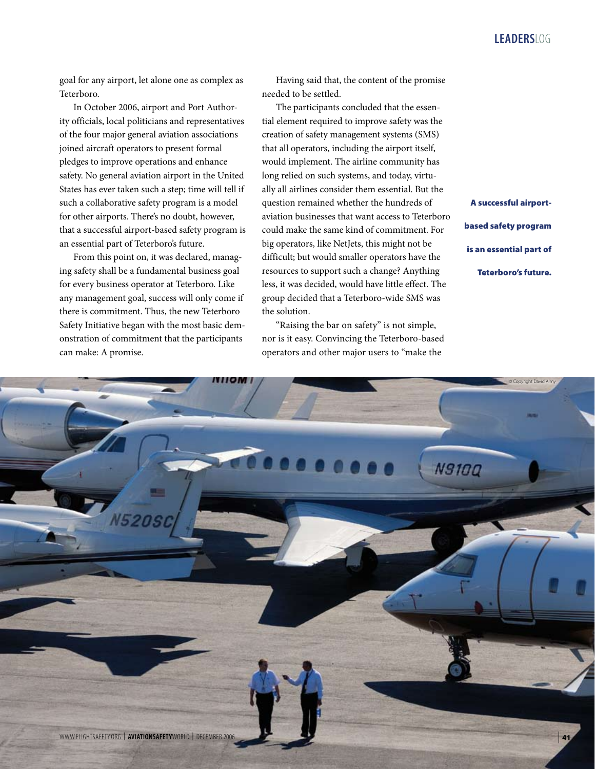goal for any airport, let alone one as complex as Teterboro.

In October 2006, airport and Port Authority officials, local politicians and representatives of the four major general aviation associations joined aircraft operators to present formal pledges to improve operations and enhance safety. No general aviation airport in the United States has ever taken such a step; time will tell if such a collaborative safety program is a model for other airports. There's no doubt, however, that a successful airport-based safety program is an essential part of Teterboro's future.

From this point on, it was declared, managing safety shall be a fundamental business goal for every business operator at Teterboro. Like any management goal, success will only come if there is commitment. Thus, the new Teterboro Safety Initiative began with the most basic demonstration of commitment that the participants can make: A promise.

Having said that, the content of the promise needed to be settled.

The participants concluded that the essential element required to improve safety was the creation of safety management systems (SMS) that all operators, including the airport itself, would implement. The airline community has long relied on such systems, and today, virtually all airlines consider them essential. But the question remained whether the hundreds of aviation businesses that want access to Teterboro could make the same kind of commitment. For big operators, like NetJets, this might not be difficult; but would smaller operators have the resources to support such a change? Anything less, it was decided, would have little effect. The group decided that a Teterboro-wide SMS was the solution.

"Raising the bar on safety" is not simple, nor is it easy. Convincing the Teterboro-based operators and other major users to "make the

A successful airportbased safety program is an essential part of Teterboro's future.

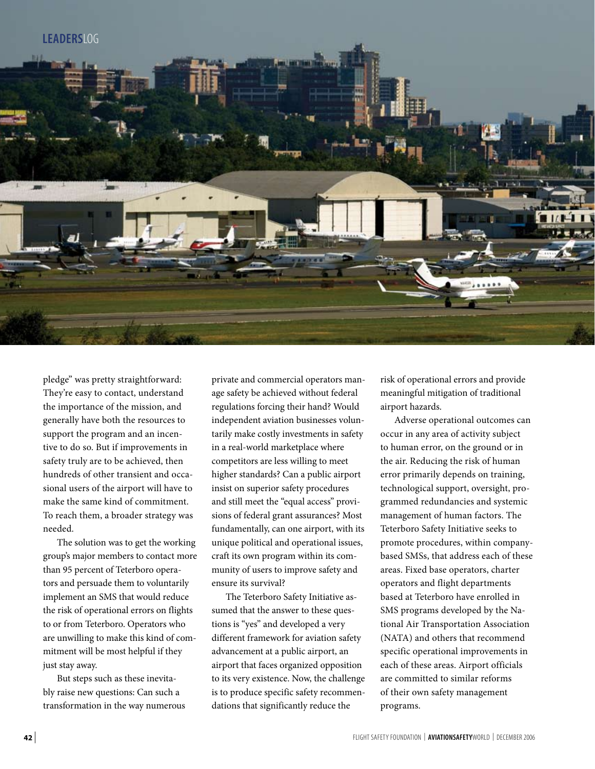

pledge" was pretty straightforward: They're easy to contact, understand the importance of the mission, and generally have both the resources to support the program and an incentive to do so. But if improvements in safety truly are to be achieved, then hundreds of other transient and occasional users of the airport will have to make the same kind of commitment. To reach them, a broader strategy was needed.

The solution was to get the working group's major members to contact more than 95 percent of Teterboro operators and persuade them to voluntarily implement an SMS that would reduce the risk of operational errors on flights to or from Teterboro. Operators who are unwilling to make this kind of commitment will be most helpful if they just stay away.

But steps such as these inevitably raise new questions: Can such a transformation in the way numerous

private and commercial operators manage safety be achieved without federal regulations forcing their hand? Would independent aviation businesses voluntarily make costly investments in safety in a real-world marketplace where competitors are less willing to meet higher standards? Can a public airport insist on superior safety procedures and still meet the "equal access" provisions of federal grant assurances? Most fundamentally, can one airport, with its unique political and operational issues, craft its own program within its community of users to improve safety and ensure its survival?

The Teterboro Safety Initiative assumed that the answer to these questions is "yes" and developed a very different framework for aviation safety advancement at a public airport, an airport that faces organized opposition to its very existence. Now, the challenge is to produce specific safety recommendations that significantly reduce the

risk of operational errors and provide meaningful mitigation of traditional airport hazards.

Adverse operational outcomes can occur in any area of activity subject to human error, on the ground or in the air. Reducing the risk of human error primarily depends on training, technological support, oversight, programmed redundancies and systemic management of human factors. The Teterboro Safety Initiative seeks to promote procedures, within companybased SMSs, that address each of these areas. Fixed base operators, charter operators and flight departments based at Teterboro have enrolled in SMS programs developed by the National Air Transportation Association (NATA) and others that recommend specific operational improvements in each of these areas. Airport officials are committed to similar reforms of their own safety management programs.